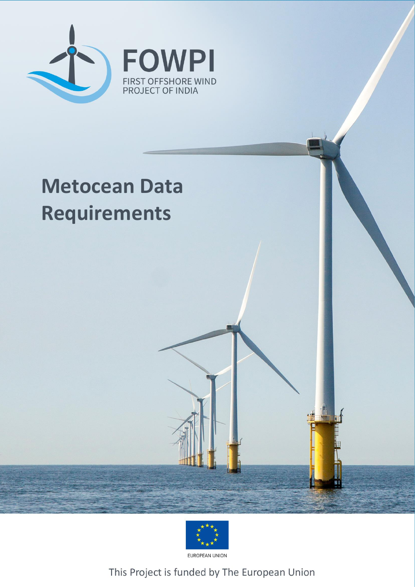

# **Metocean Data Requirements**



This Project is funded by The European Union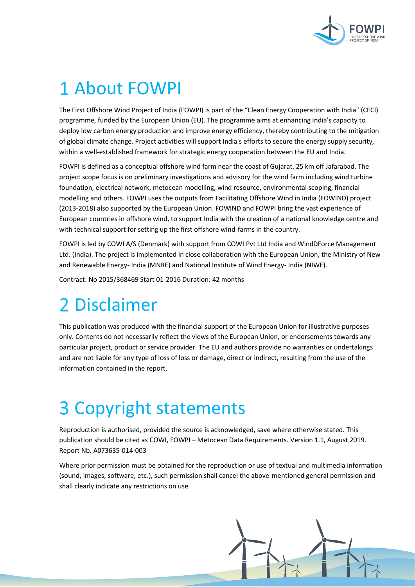

### 1 About FOWPI

The First Offshore Wind Project of India (FOWPI) is part of the "Clean Energy Cooperation with India" (CECI) programme, funded by the European Union (EU). The programme aims at enhancing India's capacity to deploy low carbon energy production and improve energy efficiency, thereby contributing to the mitigation of global climate change. Project activities will support India's efforts to secure the energy supply security, within a well-established framework for strategic energy cooperation between the EU and India.

FOWPI is defined as a conceptual offshore wind farm near the coast of Gujarat, 25 km off Jafarabad. The project scope focus is on preliminary investigations and advisory for the wind farm including wind turbine foundation, electrical network, metocean modelling, wind resource, environmental scoping, financial modelling and others. FOWPI uses the outputs from Facilitating Offshore Wind in India (FOWIND) project (2013-2018) also supported by the European Union. FOWIND and FOWPI bring the vast experience of European countries in offshore wind, to support India with the creation of a national knowledge centre and with technical support for setting up the first offshore wind-farms in the country.

FOWPI is led by COWI A/S (Denmark) with support from COWI Pvt Ltd India and WindDForce Management Ltd. (India). The project is implemented in close collaboration with the European Union, the Ministry of New and Renewable Energy- India (MNRE) and National Institute of Wind Energy- India (NIWE).

Contract: No 2015/368469 Start 01-2016 Duration: 42 months

## 2 Disclaimer

This publication was produced with the financial support of the European Union for illustrative purposes only. Contents do not necessarily reflect the views of the European Union, or endorsements towards any particular project, product or service provider. The EU and authors provide no warranties or undertakings and are not liable for any type of loss of loss or damage, direct or indirect, resulting from the use of the information contained in the report.

## 3 Copyright statements

Reproduction is authorised, provided the source is acknowledged, save where otherwise stated. This publication should be cited as COWI, FOWPI – Metocean Data Requirements. Version 1.1, August 2019. Report Nb. A073635-014-003

Where prior permission must be obtained for the reproduction or use of textual and multimedia information (sound, images, software, etc.), such permission shall cancel the above-mentioned general permission and shall clearly indicate any restrictions on use.

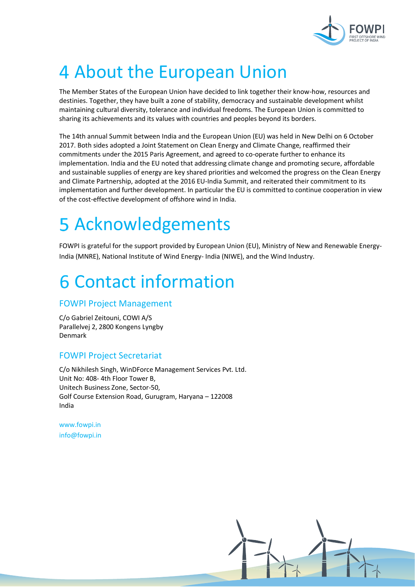

### About the European Union

The Member States of the European Union have decided to link together their know-how, resources and destinies. Together, they have built a zone of stability, democracy and sustainable development whilst maintaining cultural diversity, tolerance and individual freedoms. The European Union is committed to sharing its achievements and its values with countries and peoples beyond its borders.

The 14th annual Summit between India and the European Union (EU) was held in New Delhi on 6 October 2017. Both sides adopted a Joint Statement on Clean Energy and Climate Change, reaffirmed their commitments under the 2015 Paris Agreement, and agreed to co-operate further to enhance its implementation. India and the EU noted that addressing climate change and promoting secure, affordable and sustainable supplies of energy are key shared priorities and welcomed the progress on the Clean Energy and Climate Partnership, adopted at the 2016 EU-India Summit, and reiterated their commitment to its implementation and further development. In particular the EU is committed to continue cooperation in view of the cost-effective development of offshore wind in India.

### 5 Acknowledgements

FOWPI is grateful for the support provided by European Union (EU), Ministry of New and Renewable Energy-India (MNRE), National Institute of Wind Energy- India (NIWE), and the Wind Industry.

## Contact information

#### FOWPI Project Management

C/o Gabriel Zeitouni, COWI A/S Parallelvej 2, 2800 Kongens Lyngby Denmark

#### FOWPI Project Secretariat

C/o Nikhilesh Singh, WinDForce Management Services Pvt. Ltd. Unit No: 408- 4th Floor Tower B, Unitech Business Zone, Sector-50, Golf Course Extension Road, Gurugram, Haryana – 122008 India

[www.fowpi.in](http://www.fowpi.in/) [info@fowpi.in](mailto:info@fowpi.in)

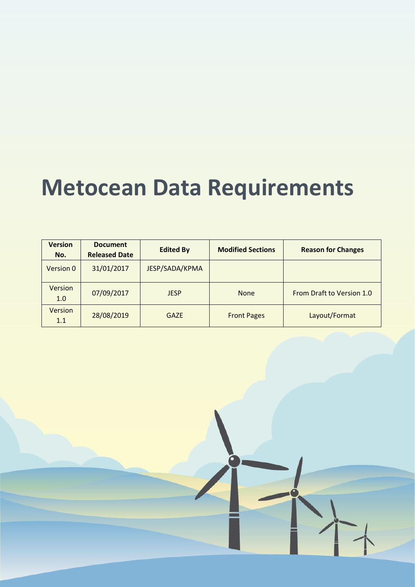# **Metocean Data Requirements**

| <b>Version</b><br>No. | <b>Document</b><br><b>Released Date</b> | <b>Edited By</b> | <b>Modified Sections</b> | <b>Reason for Changes</b> |  |  |
|-----------------------|-----------------------------------------|------------------|--------------------------|---------------------------|--|--|
| <b>Version 0</b>      | 31/01/2017                              | JESP/SADA/KPMA   |                          |                           |  |  |
| Version<br>1.0        | 07/09/2017                              | <b>JESP</b>      | <b>None</b>              | From Draft to Version 1.0 |  |  |
| Version<br>1.1        | 28/08/2019                              | <b>GAZE</b>      | <b>Front Pages</b>       | Layout/Format             |  |  |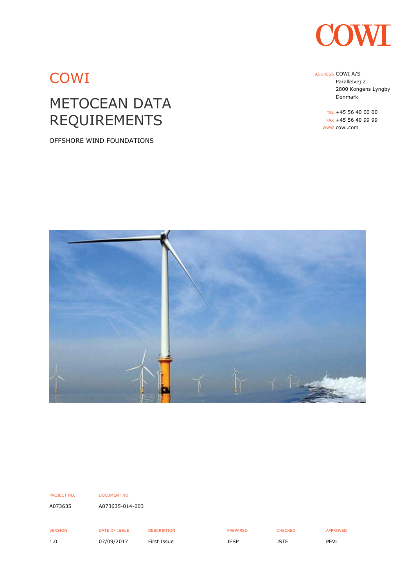

### **COWI**

### METOCEAN DATA REQUIREMENTS

OFFSHORE WIND FOUNDATIONS

 ADDRESS COWI A/S Parallelvej 2 2800 Kongens Lyngby Denmark

 TEL +45 56 40 00 00 FAX +45 56 40 99 99 WWW cowi.com



| PROJECT NO.    | DOCUMENT NO.         |                    |                 |                |                 |  |  |  |  |
|----------------|----------------------|--------------------|-----------------|----------------|-----------------|--|--|--|--|
| A073635        | A073635-014-003      |                    |                 |                |                 |  |  |  |  |
|                |                      |                    |                 |                |                 |  |  |  |  |
| <b>VERSION</b> | <b>DATE OF ISSUE</b> | <b>DESCRIPTION</b> | <b>PREPARED</b> | <b>CHECKED</b> | <b>APPROVED</b> |  |  |  |  |
|                |                      |                    |                 |                |                 |  |  |  |  |
| 1.0            | 07/09/2017           | First Issue        | <b>JESP</b>     | <b>JSTE</b>    | <b>PEVL</b>     |  |  |  |  |
|                |                      |                    |                 |                |                 |  |  |  |  |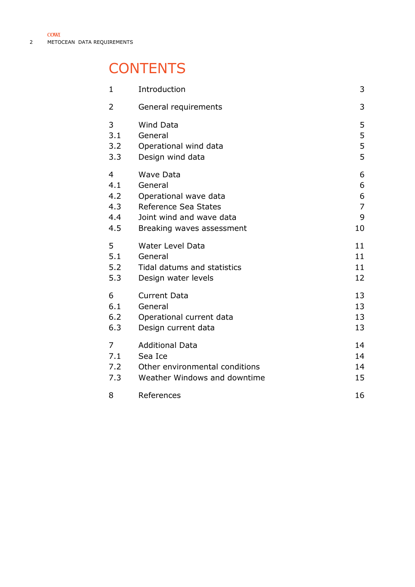### **CONTENTS**

| 1              | Introduction                   | 3              |
|----------------|--------------------------------|----------------|
| 2              | General requirements           | 3              |
| 3              | <b>Wind Data</b>               | 5              |
| 3.1            | General                        | 5              |
| 3.2            | Operational wind data          | 5              |
| 3.3            | Design wind data               | 5              |
| $\overline{4}$ | <b>Wave Data</b>               | 6              |
| 4.1            | General                        | 6              |
| 4.2            | Operational wave data          | 6              |
| 4.3            | <b>Reference Sea States</b>    | $\overline{7}$ |
| 4.4            | Joint wind and wave data       | 9              |
| 4.5            | Breaking waves assessment      | 10             |
| 5              | <b>Water Level Data</b>        | 11             |
| 5.1            | General                        | 11             |
| 5.2            | Tidal datums and statistics    | 11             |
| 5.3            | Design water levels            | 12             |
| 6              | <b>Current Data</b>            | 13             |
| 6.1            | General                        | 13             |
| 6.2            | Operational current data       | 13             |
| 6.3            | Design current data            | 13             |
| 7              | <b>Additional Data</b>         | 14             |
| 7.1            | Sea Ice                        | 14             |
| 7.2            | Other environmental conditions | 14             |
| 7.3            | Weather Windows and downtime   | 15             |
| 8              | References                     | 16             |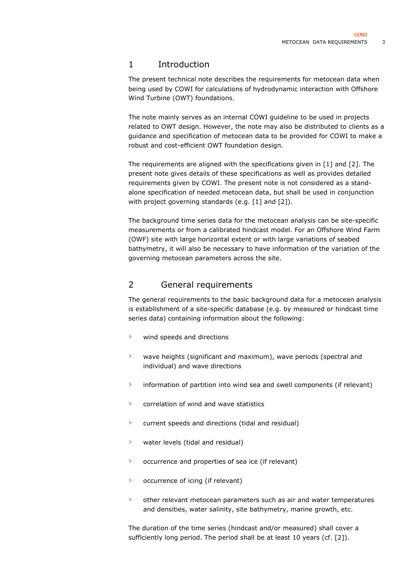#### 1 Introduction

The present technical note describes the requirements for metocean data when being used by COWI for calculations of hydrodynamic interaction with Offshore Wind Turbine (OWT) foundations.

The note mainly serves as an internal COWI guideline to be used in projects related to OWT design. However, the note may also be distributed to clients as a guidance and specification of metocean data to be provided for COWI to make a robust and cost-efficient OWT foundation design.

The requirements are aligned with the specifications given in [1] and [2]. The present note gives details of these specifications as well as provides detailed requirements given by COWI. The present note is not considered as a standalone specification of needed metocean data, but shall be used in conjunction with project governing standards (e.g. [1] and [2]).

The background time series data for the metocean analysis can be site-specific measurements or from a calibrated hindcast model. For an Offshore Wind Farm (OWF) site with large horizontal extent or with large variations of seabed bathymetry, it will also be necessary to have information of the variation of the governing metocean parameters across the site.

#### 2 General requirements

The general requirements to the basic background data for a metocean analysis is establishment of a site-specific database (e.g. by measured or hindcast time series data) containing information about the following:

- › wind speeds and directions
- › wave heights (significant and maximum), wave periods (spectral and individual) and wave directions
- › information of partition into wind sea and swell components (if relevant)
- › correlation of wind and wave statistics
- › current speeds and directions (tidal and residual)
- › water levels (tidal and residual)
- › occurrence and properties of sea ice (if relevant)
- › occurrence of icing (if relevant)
- › other relevant metocean parameters such as air and water temperatures and densities, water salinity, site bathymetry, marine growth, etc.

The duration of the time series (hindcast and/or measured) shall cover a sufficiently long period. The period shall be at least 10 years (cf. [2]).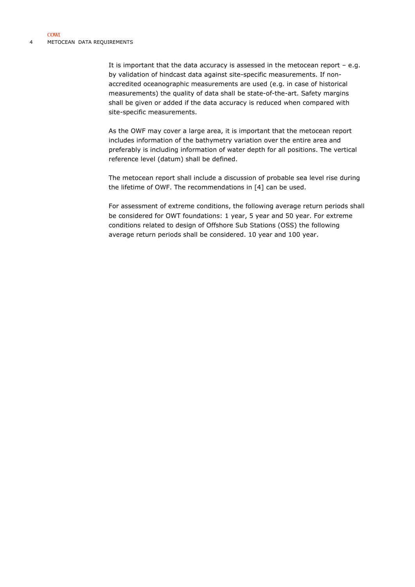It is important that the data accuracy is assessed in the metocean report – e.g. by validation of hindcast data against site-specific measurements. If nonaccredited oceanographic measurements are used (e.g. in case of historical measurements) the quality of data shall be state-of-the-art. Safety margins shall be given or added if the data accuracy is reduced when compared with site-specific measurements.

As the OWF may cover a large area, it is important that the metocean report includes information of the bathymetry variation over the entire area and preferably is including information of water depth for all positions. The vertical reference level (datum) shall be defined.

The metocean report shall include a discussion of probable sea level rise during the lifetime of OWF. The recommendations in [4] can be used.

For assessment of extreme conditions, the following average return periods shall be considered for OWT foundations: 1 year, 5 year and 50 year. For extreme conditions related to design of Offshore Sub Stations (OSS) the following average return periods shall be considered. 10 year and 100 year.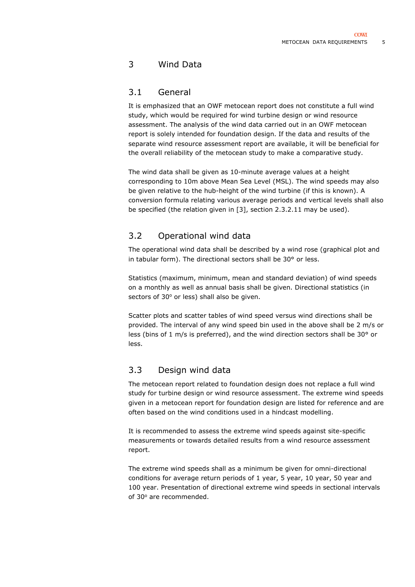#### 3 Wind Data

#### 3.1 General

It is emphasized that an OWF metocean report does not constitute a full wind study, which would be required for wind turbine design or wind resource assessment. The analysis of the wind data carried out in an OWF metocean report is solely intended for foundation design. If the data and results of the separate wind resource assessment report are available, it will be beneficial for the overall reliability of the metocean study to make a comparative study.

The wind data shall be given as 10-minute average values at a height corresponding to 10m above Mean Sea Level (MSL). The wind speeds may also be given relative to the hub-height of the wind turbine (if this is known). A conversion formula relating various average periods and vertical levels shall also be specified (the relation given in [3], section 2.3.2.11 may be used).

#### 3.2 Operational wind data

The operational wind data shall be described by a wind rose (graphical plot and in tabular form). The directional sectors shall be 30° or less.

Statistics (maximum, minimum, mean and standard deviation) of wind speeds on a monthly as well as annual basis shall be given. Directional statistics (in sectors of 30° or less) shall also be given.

Scatter plots and scatter tables of wind speed versus wind directions shall be provided. The interval of any wind speed bin used in the above shall be 2 m/s or less (bins of 1 m/s is preferred), and the wind direction sectors shall be 30° or less.

#### 3.3 Design wind data

The metocean report related to foundation design does not replace a full wind study for turbine design or wind resource assessment. The extreme wind speeds given in a metocean report for foundation design are listed for reference and are often based on the wind conditions used in a hindcast modelling.

It is recommended to assess the extreme wind speeds against site-specific measurements or towards detailed results from a wind resource assessment report.

The extreme wind speeds shall as a minimum be given for omni-directional conditions for average return periods of 1 year, 5 year, 10 year, 50 year and 100 year. Presentation of directional extreme wind speeds in sectional intervals of 30° are recommended.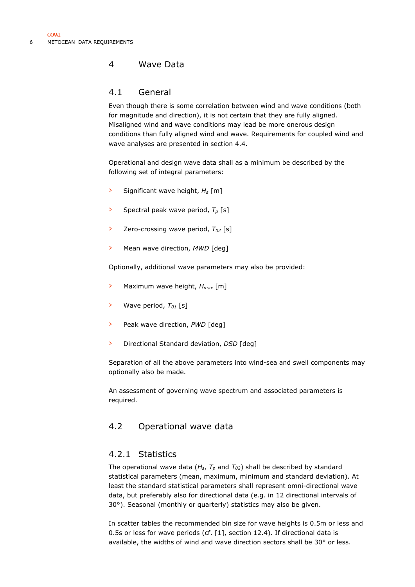#### 4 Wave Data

#### 4.1 General

Even though there is some correlation between wind and wave conditions (both for magnitude and direction), it is not certain that they are fully aligned. Misaligned wind and wave conditions may lead be more onerous design conditions than fully aligned wind and wave. Requirements for coupled wind and wave analyses are presented in section 4.4.

Operational and design wave data shall as a minimum be described by the following set of integral parameters:

- › Significant wave height, *Hs* [m]
- $\triangleright$  Spectral peak wave period,  $T_p$  [s]
- › Zero-crossing wave period, *T02* [s]
- › Mean wave direction, *MWD* [deg]

Optionally, additional wave parameters may also be provided:

- › Maximum wave height, *Hmax* [m]
- › Wave period, *T01* [s]
- › Peak wave direction, *PWD* [deg]
- › Directional Standard deviation, *DSD* [deg]

Separation of all the above parameters into wind-sea and swell components may optionally also be made.

An assessment of governing wave spectrum and associated parameters is required.

#### 4.2 Operational wave data

#### 4.2.1 Statistics

The operational wave data ( $H_s$ ,  $T_p$  and  $T_{02}$ ) shall be described by standard statistical parameters (mean, maximum, minimum and standard deviation). At least the standard statistical parameters shall represent omni-directional wave data, but preferably also for directional data (e.g. in 12 directional intervals of 30°). Seasonal (monthly or quarterly) statistics may also be given.

In scatter tables the recommended bin size for wave heights is 0.5m or less and 0.5s or less for wave periods (cf. [1], section 12.4). If directional data is available, the widths of wind and wave direction sectors shall be 30° or less.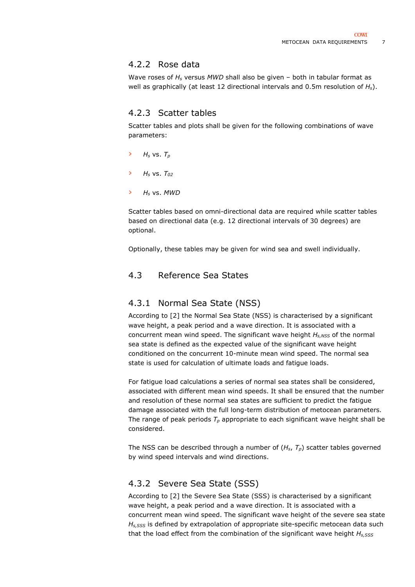#### 4.2.2 Rose data

Wave roses of  $H_s$  versus MWD shall also be given - both in tabular format as well as graphically (at least 12 directional intervals and 0.5m resolution of *Hs*).

#### 4.2.3 Scatter tables

Scatter tables and plots shall be given for the following combinations of wave parameters:

- $\triangleright$  *H<sub>s</sub>* vs.  $T_p$
- › *Hs* vs. *T<sup>02</sup>*
- › *Hs* vs. *MWD*

Scatter tables based on omni-directional data are required while scatter tables based on directional data (e.g. 12 directional intervals of 30 degrees) are optional.

Optionally, these tables may be given for wind sea and swell individually.

#### 4.3 Reference Sea States

#### 4.3.1 Normal Sea State (NSS)

According to [2] the Normal Sea State (NSS) is characterised by a significant wave height, a peak period and a wave direction. It is associated with a concurrent mean wind speed. The significant wave height  $H_{s,NSS}$  of the normal sea state is defined as the expected value of the significant wave height conditioned on the concurrent 10-minute mean wind speed. The normal sea state is used for calculation of ultimate loads and fatigue loads.

For fatigue load calculations a series of normal sea states shall be considered, associated with different mean wind speeds. It shall be ensured that the number and resolution of these normal sea states are sufficient to predict the fatigue damage associated with the full long-term distribution of metocean parameters. The range of peak periods  $T_p$  appropriate to each significant wave height shall be considered.

The NSS can be described through a number of (*Hs*, *Tp*) scatter tables governed by wind speed intervals and wind directions.

#### 4.3.2 Severe Sea State (SSS)

According to [2] the Severe Sea State (SSS) is characterised by a significant wave height, a peak period and a wave direction. It is associated with a concurrent mean wind speed. The significant wave height of the severe sea state *Hs,SSS* is defined by extrapolation of appropriate site-specific metocean data such that the load effect from the combination of the significant wave height  $H_{s,SSS}$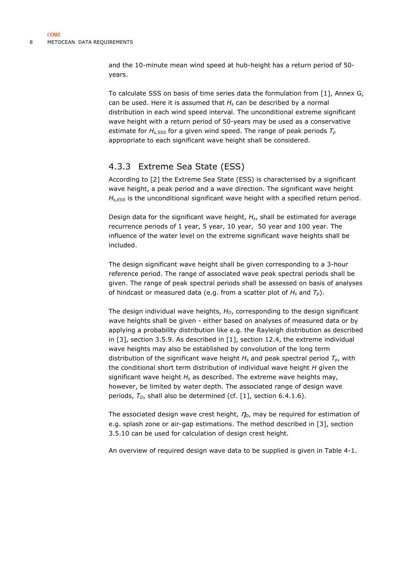and the 10-minute mean wind speed at hub-height has a return period of 50 years.

To calculate SSS on basis of time series data the formulation from [1], Annex G, can be used. Here it is assumed that *Hs* can be described by a normal distribution in each wind speed interval. The unconditional extreme significant wave height with a return period of 50-years may be used as a conservative estimate for  $H_{s,SSS}$  for a given wind speed. The range of peak periods  $T_p$ appropriate to each significant wave height shall be considered.

#### 4.3.3 Extreme Sea State (ESS)

According to [2] the Extreme Sea State (ESS) is characterised by a significant wave height, a peak period and a wave direction. The significant wave height H<sub>s,ESS</sub> is the unconditional significant wave height with a specified return period.

Design data for the significant wave height, *Hs*, shall be estimated for average recurrence periods of 1 year, 5 year, 10 year, 50 year and 100 year. The influence of the water level on the extreme significant wave heights shall be included.

The design significant wave height shall be given corresponding to a 3-hour reference period. The range of associated wave peak spectral periods shall be given. The range of peak spectral periods shall be assessed on basis of analyses of hindcast or measured data (e.g. from a scatter plot of *Hs* and *Tp*).

The design individual wave heights, *HD*, corresponding to the design significant wave heights shall be given - either based on analyses of measured data or by applying a probability distribution like e.g. the Rayleigh distribution as described in [3], section 3.5.9. As described in [1], section 12.4, the extreme individual wave heights may also be established by convolution of the long term distribution of the significant wave height *Hs* and peak spectral period *Tp*, with the conditional short term distribution of individual wave height *H* given the significant wave height *Hs* as described. The extreme wave heights may, however, be limited by water depth. The associated range of design wave periods, *TD*, shall also be determined (cf. [1], section 6.4.1.6).

The associated design wave crest height, η*D*, may be required for estimation of e.g. splash zone or air-gap estimations. The method described in [3], section 3.5.10 can be used for calculation of design crest height.

An overview of required design wave data to be supplied is given in Table 4-1.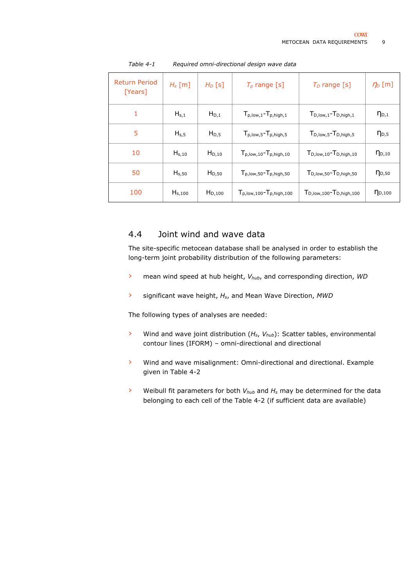| <b>Return Period</b><br>[Years] | $H_s$ [m]         | $H_D$ [s]          | $T_p$ range [s]                    | $T_D$ range [s]                    | $\eta_D$ [m]   |
|---------------------------------|-------------------|--------------------|------------------------------------|------------------------------------|----------------|
| 1                               | $H_{s,1}$         | $H_{D,1}$          | $T_{p,low,1}-T_{p,high,1}$         | $T_{D,low,1}$ - $T_{D,high,1}$     | $\eta_{D,1}$   |
| 5                               | H <sub>s,5</sub>  | $H_{D,5}$          | $T_{p,low,5}$ - $T_{p,high,5}$     | $T_{D,low,5}$ - $T_{D,high,5}$     | $\eta_{D,5}$   |
| 10                              | $H_{s,10}$        | H <sub>D,10</sub>  | $T_{p,low,10}$ - $T_{p,high,10}$   | $T_{D,low,10}$ - $T_{D,high,10}$   | $\eta_{D,10}$  |
| 50                              | H <sub>s.50</sub> | H <sub>D.50</sub>  | $T_{p,low,50}$ - $T_{p,high,50}$   | $T_{D,low,50}$ - $T_{D,high,50}$   | $\eta_{D,50}$  |
| 100                             | $H_{s,100}$       | H <sub>D,100</sub> | $T_{p,low,100}$ - $T_{p,high,100}$ | $T_{D,low,100}$ - $T_{D,high,100}$ | $\eta_{D,100}$ |

*Table 4-1 Required omni-directional design wave data* 

#### 4.4 Joint wind and wave data

The site-specific metocean database shall be analysed in order to establish the long-term joint probability distribution of the following parameters:

- › mean wind speed at hub height, *Vhub*, and corresponding direction, *WD*
- › significant wave height, *Hs*, and Mean Wave Direction, *MWD*

The following types of analyses are needed:

- › Wind and wave joint distribution (*Hs*, *Vhub*): Scatter tables, environmental contour lines (IFORM) – omni-directional and directional
- › Wind and wave misalignment: Omni-directional and directional. Example given in Table 4-2
- › Weibull fit parameters for both *Vhub* and *Hs* may be determined for the data belonging to each cell of the Table 4-2 (if sufficient data are available)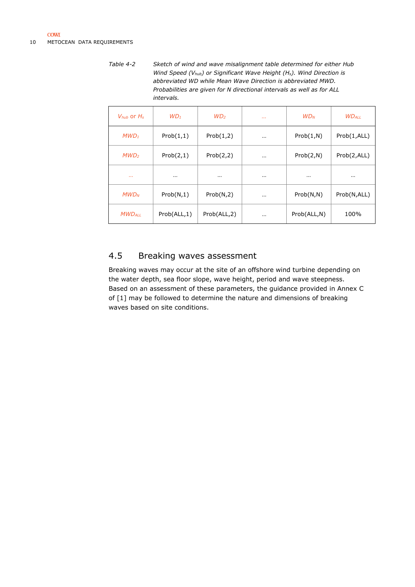*Table 4-2 Sketch of wind and wave misalignment table determined for either Hub Wind Speed (Vhub) or Significant Wave Height (Hs). Wind Direction is abbreviated WD while Mean Wave Direction is abbreviated MWD. Probabilities are given for N directional intervals as well as for ALL intervals.* 

| $V_{hub}$ or $H_s$ | $WD_1$      | WD <sub>2</sub> | $\cdots$ | $WD_N$      | <b>WDALL</b> |  |
|--------------------|-------------|-----------------|----------|-------------|--------------|--|
| $MWD_1$            | Prob(1,1)   | Prob(1,2)       | $\cdots$ | Prob(1,N)   | Prob(1,ALL)  |  |
| MWD <sub>2</sub>   | Prob(2,1)   | Prob(2,2)       | $\cdots$ | Prob(2,N)   | Prob(2,ALL)  |  |
| $\cdots$           | $\cdots$    | $\cdots$        | $\cdots$ | $\cdots$    | $\cdots$     |  |
| $MWD_N$            | Prob(N,1)   | Prob(N,2)       | $\cdots$ | Prob(N,N)   | Prob(N,ALL)  |  |
| <b>MWDALL</b>      | Prob(ALL,1) | Prob(ALL,2)     | $\cdots$ | Prob(ALL,N) | 100%         |  |

#### 4.5 Breaking waves assessment

Breaking waves may occur at the site of an offshore wind turbine depending on the water depth, sea floor slope, wave height, period and wave steepness. Based on an assessment of these parameters, the guidance provided in Annex C of [1] may be followed to determine the nature and dimensions of breaking waves based on site conditions.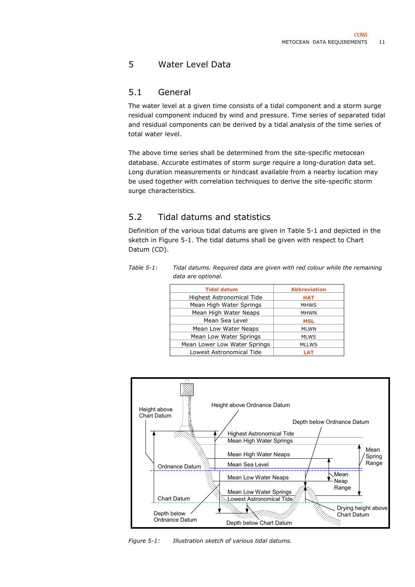#### 5 Water Level Data

#### 5.1 General

The water level at a given time consists of a tidal component and a storm surge residual component induced by wind and pressure. Time series of separated tidal and residual components can be derived by a tidal analysis of the time series of total water level.

The above time series shall be determined from the site-specific metocean database. Accurate estimates of storm surge require a long-duration data set. Long duration measurements or hindcast available from a nearby location may be used together with correlation techniques to derive the site-specific storm surge characteristics.

#### 5.2 Tidal datums and statistics

Definition of the various tidal datums are given in Table 5-1 and depicted in the sketch in Figure 5-1. The tidal datums shall be given with respect to Chart Datum (CD).

| <b>Tidal datum</b>           | <b>Abbreviation</b> |
|------------------------------|---------------------|
| Highest Astronomical Tide    | HAT                 |
| Mean High Water Springs      | <b>MHWS</b>         |
| Mean High Water Neaps        | <b>MHWN</b>         |
| Mean Sea Level               | <b>MSL</b>          |
| Mean Low Water Neaps         | <b>MLWN</b>         |
| Mean Low Water Springs       | <b>MLWS</b>         |
| Mean Lower Low Water Springs | <b>MLLWS</b>        |
| Lowest Astronomical Tide     | I AT                |



*Figure 5-1: Illustration sketch of various tidal datums.* 

#### *Table 5-1: Tidal datums. Required data are given with red colour while the remaining data are optional.*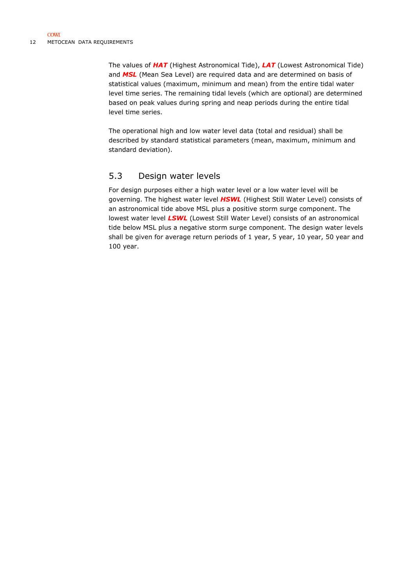The values of *HAT* (Highest Astronomical Tide), *LAT* (Lowest Astronomical Tide) and *MSL* (Mean Sea Level) are required data and are determined on basis of statistical values (maximum, minimum and mean) from the entire tidal water level time series. The remaining tidal levels (which are optional) are determined based on peak values during spring and neap periods during the entire tidal level time series.

The operational high and low water level data (total and residual) shall be described by standard statistical parameters (mean, maximum, minimum and standard deviation).

#### 5.3 Design water levels

For design purposes either a high water level or a low water level will be governing. The highest water level *HSWL* (Highest Still Water Level) consists of an astronomical tide above MSL plus a positive storm surge component. The lowest water level *LSWL* (Lowest Still Water Level) consists of an astronomical tide below MSL plus a negative storm surge component. The design water levels shall be given for average return periods of 1 year, 5 year, 10 year, 50 year and 100 year.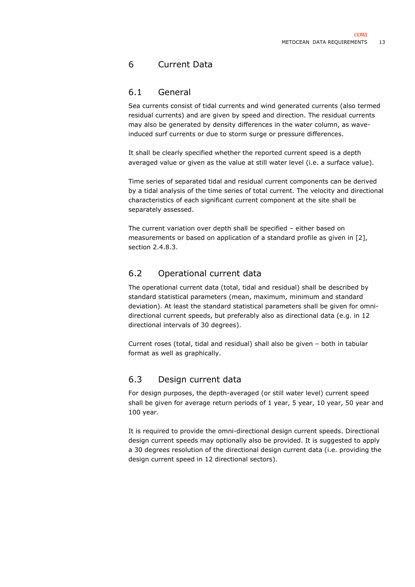#### 6 Current Data

#### 6.1 General

Sea currents consist of tidal currents and wind generated currents (also termed residual currents) and are given by speed and direction. The residual currents may also be generated by density differences in the water column, as waveinduced surf currents or due to storm surge or pressure differences.

It shall be clearly specified whether the reported current speed is a depth averaged value or given as the value at still water level (i.e. a surface value).

Time series of separated tidal and residual current components can be derived by a tidal analysis of the time series of total current. The velocity and directional characteristics of each significant current component at the site shall be separately assessed.

The current variation over depth shall be specified – either based on measurements or based on application of a standard profile as given in [2], section 2.4.8.3.

#### 6.2 Operational current data

The operational current data (total, tidal and residual) shall be described by standard statistical parameters (mean, maximum, minimum and standard deviation). At least the standard statistical parameters shall be given for omnidirectional current speeds, but preferably also as directional data (e.g. in 12 directional intervals of 30 degrees).

Current roses (total, tidal and residual) shall also be given – both in tabular format as well as graphically.

#### 6.3 Design current data

For design purposes, the depth-averaged (or still water level) current speed shall be given for average return periods of 1 year, 5 year, 10 year, 50 year and 100 year.

It is required to provide the omni-directional design current speeds. Directional design current speeds may optionally also be provided. It is suggested to apply a 30 degrees resolution of the directional design current data (i.e. providing the design current speed in 12 directional sectors).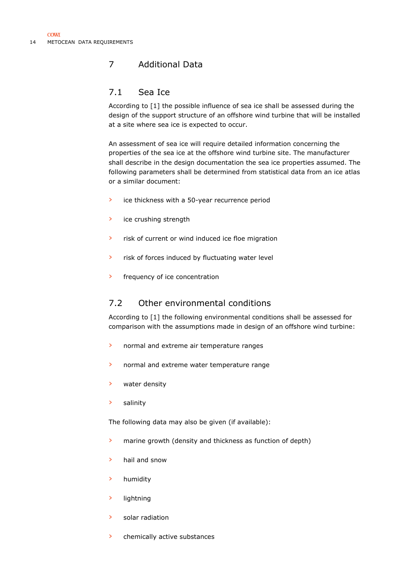#### 7 Additional Data

#### 7.1 Sea Ice

According to [1] the possible influence of sea ice shall be assessed during the design of the support structure of an offshore wind turbine that will be installed at a site where sea ice is expected to occur.

An assessment of sea ice will require detailed information concerning the properties of the sea ice at the offshore wind turbine site. The manufacturer shall describe in the design documentation the sea ice properties assumed. The following parameters shall be determined from statistical data from an ice atlas or a similar document:

- › ice thickness with a 50-year recurrence period
- › ice crushing strength
- › risk of current or wind induced ice floe migration
- › risk of forces induced by fluctuating water level
- › frequency of ice concentration

#### 7.2 Other environmental conditions

According to [1] the following environmental conditions shall be assessed for comparison with the assumptions made in design of an offshore wind turbine:

- › normal and extreme air temperature ranges
- › normal and extreme water temperature range
- › water density
- › salinity

The following data may also be given (if available):

- › marine growth (density and thickness as function of depth)
- › hail and snow
- › humidity
- › lightning
- › solar radiation
- › chemically active substances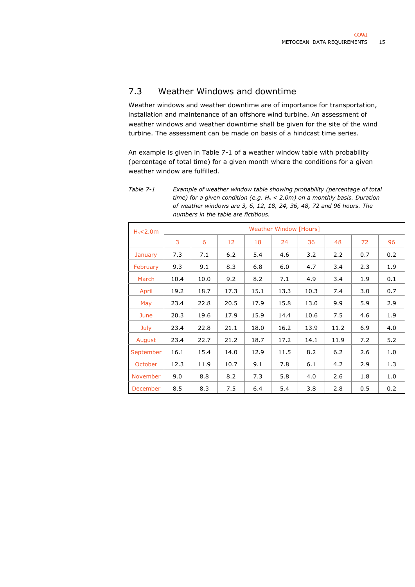#### 7.3 Weather Windows and downtime

Weather windows and weather downtime are of importance for transportation, installation and maintenance of an offshore wind turbine. An assessment of weather windows and weather downtime shall be given for the site of the wind turbine. The assessment can be made on basis of a hindcast time series.

An example is given in Table 7-1 of a weather window table with probability (percentage of total time) for a given month where the conditions for a given weather window are fulfilled.

*Table 7-1 Example of weather window table showing probability (percentage of total time) for a given condition (e.g. Hs < 2.0m) on a monthly basis. Duration of weather windows are 3, 6, 12, 18, 24, 36, 48, 72 and 96 hours. The numbers in the table are fictitious.* 

| $H_s < 2.0m$    | Weather Window [Hours] |      |       |      |      |      |      |     |     |
|-----------------|------------------------|------|-------|------|------|------|------|-----|-----|
|                 | 3                      | 6    | 12    | 18   | 24   | 36   | 48   | 72  | 96  |
| January         | 7.3                    | 7.1  | $6.2$ | 5.4  | 4.6  | 3.2  | 2.2  | 0.7 | 0.2 |
| February        | 9.3                    | 9.1  | 8.3   | 6.8  | 6.0  | 4.7  | 3.4  | 2.3 | 1.9 |
| March           | 10.4                   | 10.0 | 9.2   | 8.2  | 7.1  | 4.9  | 3.4  | 1.9 | 0.1 |
| April           | 19.2                   | 18.7 | 17.3  | 15.1 | 13.3 | 10.3 | 7.4  | 3.0 | 0.7 |
| May             | 23.4                   | 22.8 | 20.5  | 17.9 | 15.8 | 13.0 | 9.9  | 5.9 | 2.9 |
| June            | 20.3                   | 19.6 | 17.9  | 15.9 | 14.4 | 10.6 | 7.5  | 4.6 | 1.9 |
| July            | 23.4                   | 22.8 | 21.1  | 18.0 | 16.2 | 13.9 | 11.2 | 6.9 | 4.0 |
| August          | 23.4                   | 22.7 | 21.2  | 18.7 | 17.2 | 14.1 | 11.9 | 7.2 | 5.2 |
| September       | 16.1                   | 15.4 | 14.0  | 12.9 | 11.5 | 8.2  | 6.2  | 2.6 | 1.0 |
| October         | 12.3                   | 11.9 | 10.7  | 9.1  | 7.8  | 6.1  | 4.2  | 2.9 | 1.3 |
| <b>November</b> | 9.0                    | 8.8  | 8.2   | 7.3  | 5.8  | 4.0  | 2.6  | 1.8 | 1.0 |
| December        | 8.5                    | 8.3  | 7.5   | 6.4  | 5.4  | 3.8  | 2.8  | 0.5 | 0.2 |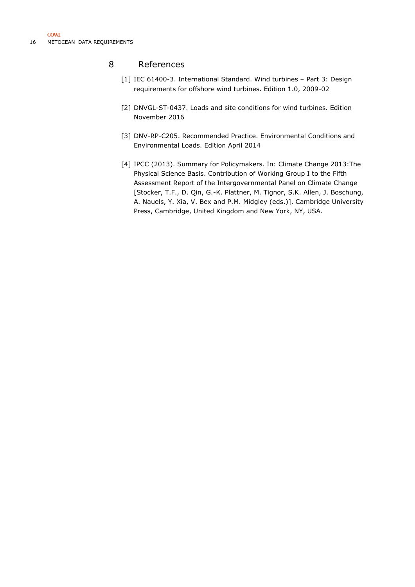#### 8 References

- [1] IEC 61400-3. International Standard. Wind turbines Part 3: Design requirements for offshore wind turbines. Edition 1.0, 2009-02
- [2] DNVGL-ST-0437. Loads and site conditions for wind turbines. Edition November 2016
- [3] DNV-RP-C205. Recommended Practice. Environmental Conditions and Environmental Loads. Edition April 2014
- [4] IPCC (2013). Summary for Policymakers. In: Climate Change 2013: The Physical Science Basis. Contribution of Working Group I to the Fifth Assessment Report of the Intergovernmental Panel on Climate Change [Stocker, T.F., D. Qin, G.-K. Plattner, M. Tignor, S.K. Allen, J. Boschung, A. Nauels, Y. Xia, V. Bex and P.M. Midgley (eds.)]. Cambridge University Press, Cambridge, United Kingdom and New York, NY, USA.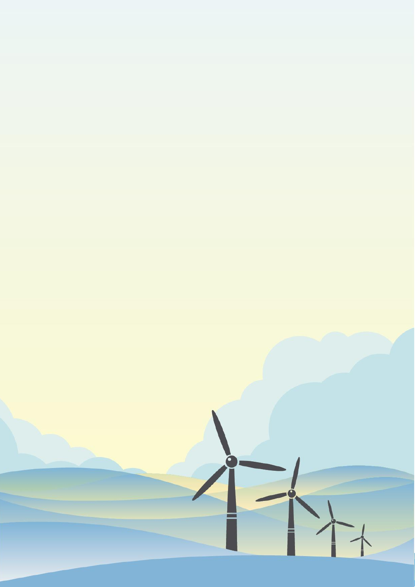